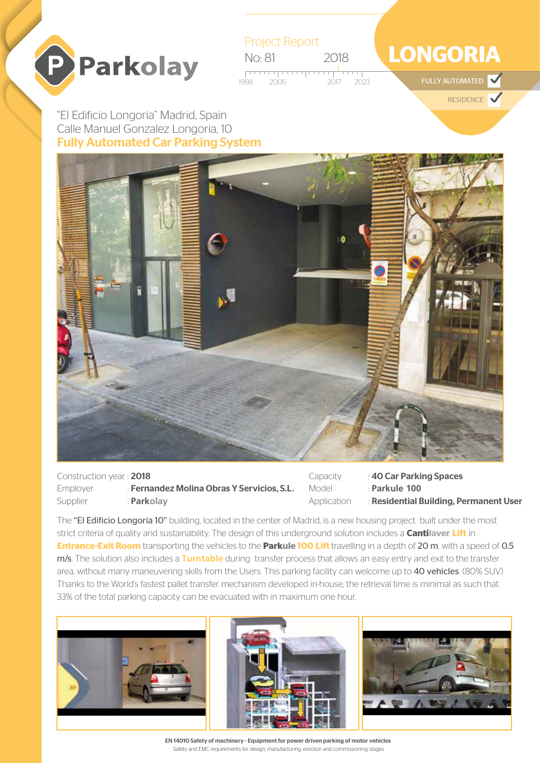



## **LONGORIA**

FULLY AUTOMATED  $\blacktriangledown$ 

**RESIDENCE** 

Fully Automated Car Parking System "El Edificio Longoria" Madrid, Spain Calle Manuel Gonzalez Longoria, 10



Construction year : 2018 Employer : Fernandez Molina Obras Y Servicios, S.L. Supplier : **Parkolav** 

Capacity : 40 Car Parking Spaces Model : **Parkule 100** Application : Residential Building, Permanent User

The "El Edificio Longoria 10" building, located in the center of Madrid, is a new housing project built under the most strict criteria of quality and sustainability. The design of this underground solution includes a **Cantilaver Lift** in **Entrance-Exit Room** transporting the vehicles to the **Parkule 100 Lift** travelling in a depth of 20 m. with a speed of 0.5 m/s. The solution also includes a **Turntable** during transfer process that allows an easy entry and exit to the transfer area, without many maneuvering skills from the Users. This parking facility can welcome up to 40 vehicles. (80% SUV) Thanks to the World's fastest pallet transfer mechanism developed in-house, the retrieval time is minimal as such that 33% of the total parking capacity can be evacuated with in maximum one hour.